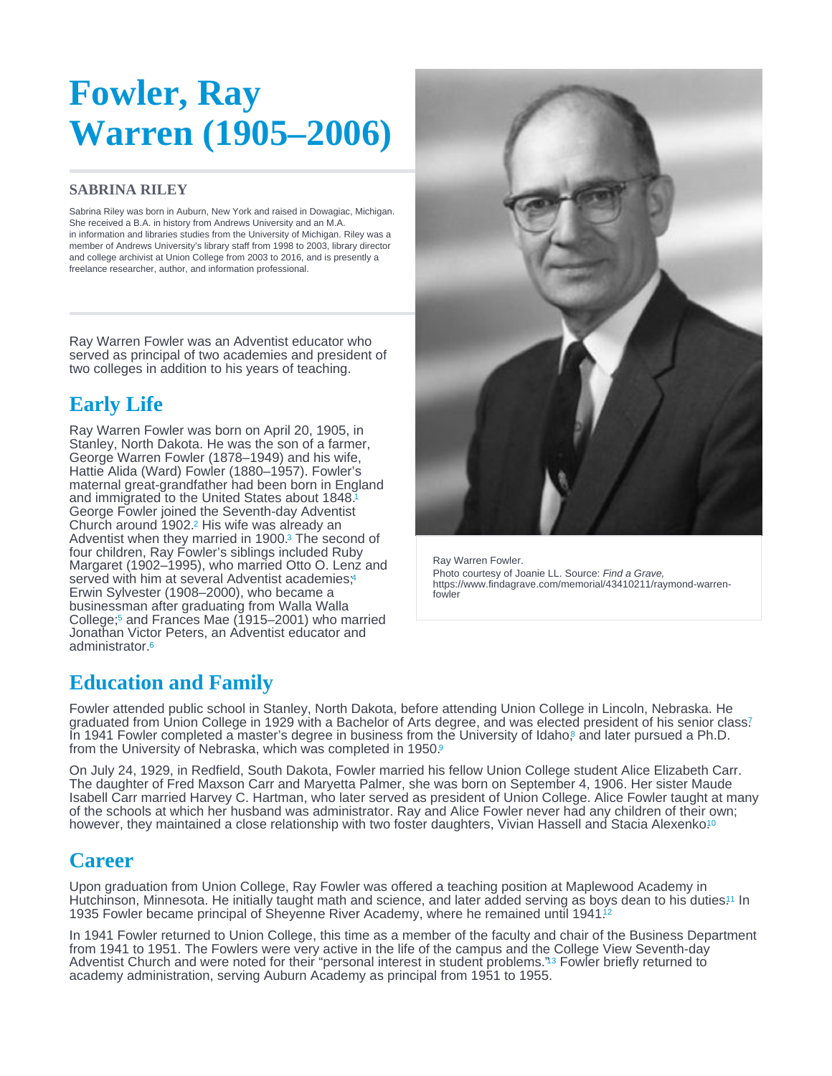# <span id="page-0-0"></span>Fowler, Ray Warren (1905–2006)

#### SABRINA RILEY

Sabrina Riley was born in Auburn, New York and raised in Dowagiac, Michigan. She received a B.A. in history from Andrews University and an M.A. in information and libraries studies from the University of Michigan. Riley was a member of Andrews University's library staff from 1998 to 2003, library director and college archivist at Union College from 2003 to 2016, and is presently a freelance researcher, author, and information professional.

Ray Warren Fowler was an Adventist educator who served as principal of two academies and president of two colleges in addition to his years of teaching.

# Early Life

Ray Warren Fowler was born on April 20, 1905, in Stanley, North Dakota. He was the son of a farmer, George Warren Fowler (1878–1949) and his wife, Hattie Alida (Ward) Fowler (1880–1957). Fowler's maternal great-grandfather had been born in England and immigrated to the United States about 1848. [1](#page-1-0) George Fowler joined the Seventh-day Adventist Church around 1902.<sup>2</sup> His wife was already an Adventist when they married in 1900.<sup>3</sup> The second of four children, Ray Fowler's siblings included Ruby Margaret (1902–1995), who married Otto O. Lenz and served with him at several Adventist academies;<sup>4</sup> Erwin Sylvester (1908–2000), who became a businessman after graduating from Walla Walla College;<sup>5</sup> and Frances Mae (1915–2001) who married Jonathan Victor Peters, an Adventist educator and administrator.<sup>[6](#page-2-0)</sup>

Ray Warren Fowler. Photo courtesy of Joanie LL. Source: Find a Grave, https://www.findagrave.com/memorial/43410211/raymond-warrenfowler

## Education and Family

Fowler attended public school in Stanley, North Dakota, before attending Union College in Lincoln, Nebraska. He graduated from Union College in 1929 with a Bachelor of Arts degree, and was elected president of his senior class? In 1941 Fowler completed a master's degree in business from the University of Idaho[,](#page-2-0)<sup>8</sup> and later pursued a Ph.D. from the University of Nebraska, which was completed in 1[9](#page-2-0)50.

On July 24, 1929, in Redfield, South Dakota, Fowler married his fellow Union College student Alice Elizabeth Carr. The daughter of Fred Maxson Carr and Maryetta Palmer, she was born on September 4, 1906. Her sister Maude Isabell Carr married Harvey C. Hartman, who later served as president of Union College. Alice Fowler taught at many of the schools at which her husband was administrator. Ray and Alice Fowler never had any children of their own; however, they maintained a close relationship with two foster daughters, Vivian Hassell and Stacia Alexenko.<sup>[10](#page-2-0)</sup>

## **Career**

Upon graduation from Union College, Ray Fowler was offered a teaching position at Maplewood Academy in Hutchinson, Minnesota. He initially taught math and science, and later added serving as boys dean to his duties!1 In 1935 Fowler became principal of Sheyenne River Academy, where he remained until 1941. [12](#page-2-0)

In 1941 Fowler returned to Union College, this time as a member of the faculty and chair of the Business Department from 1941 to 1951. The Fowlers were very active in the life of the campus and the College View Seventh-day Adventist Church and were noted for their ["](#page-2-0)personal interest in student problems."<sup>3</sup> Fowler briefly returned to academy administration, serving Auburn Academy as principal from 1951 to 1955.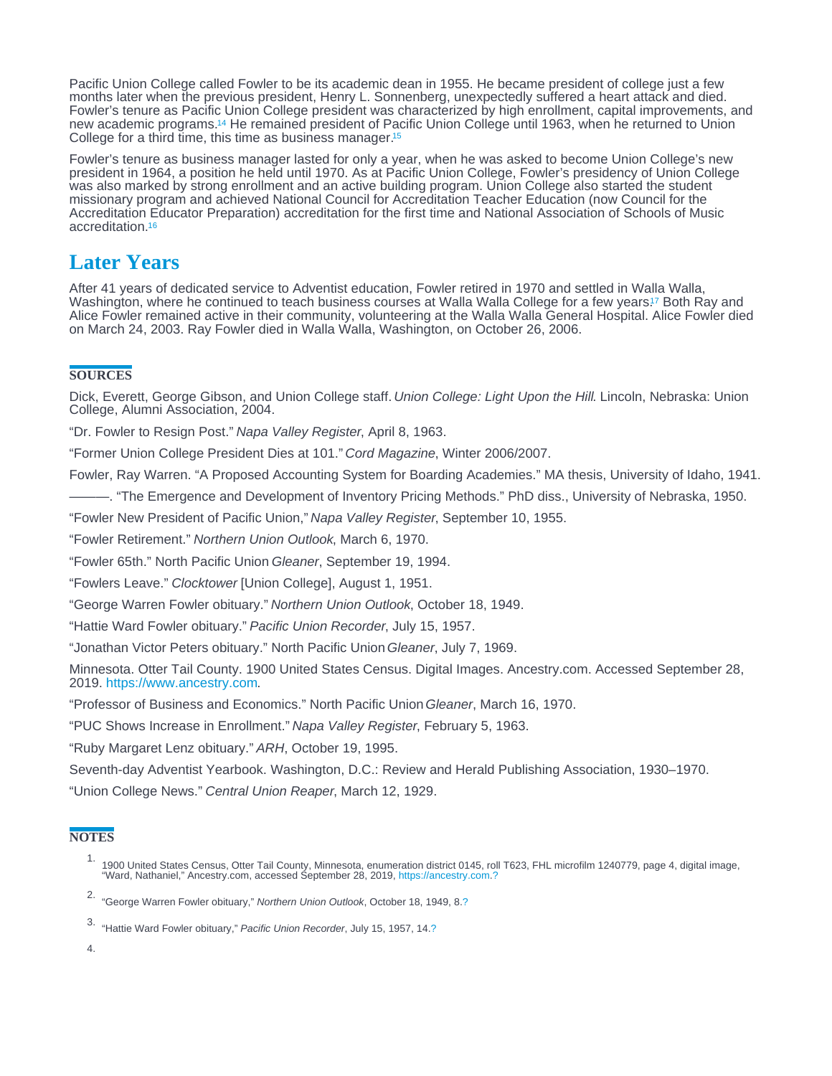<span id="page-1-0"></span>Pacific Union College called Fowler to be its academic dean in 1955. He became president of college just a few months later when the previous president, Henry L. Sonnenberg, unexpectedly suffered a heart attack and died. Fowler's tenure as Pacific Union College president was characterized by high enrollment, capital improvements, and new academic programs.<sup>14</sup> He remained president of Pacific Union College until 1963, when he returned to Union College for a third time, this time as business manager.<sup>[15](#page-2-0)</sup>

Fowler's tenure as business manager lasted for only a year, when he was asked to become Union College's new president in 1964, a position he held until 1970. As at Pacific Union College, Fowler's presidency of Union College was also marked by strong enrollment and an active building program. Union College also started the student missionary program and achieved National Council for Accreditation Teacher Education (now Council for the Accreditation Educator Preparation) accreditation for the first time and National Association of Schools of Music accreditation.[16](#page-2-0)

## Later Years

After 41 years of dedicated service to Adventist education, Fowler retired in 1970 and settled in Walla Walla, Washington, where he continued to teach business courses at Walla Walla College for a few years[.](#page-2-0)<sup>17</sup> Both Ray and Alice Fowler remained active in their community, volunteering at the Walla Walla General Hospital. Alice Fowler died on March 24, 2003. Ray Fowler died in Walla Walla, Washington, on October 26, 2006.

#### **SOURCES**

Dick, Everett, George Gibson, and Union College staff. Union College: Light Upon the Hill. Lincoln, Nebraska: Union College, Alumni Association, 2004.

"Dr. Fowler to Resign Post." Napa Valley Register, April 8, 1963.

"Former Union College President Dies at 101." Cord Magazine, Winter 2006/2007.

Fowler, Ray Warren. "A Proposed Accounting System for Boarding Academies." MA thesis, University of Idaho, 1941.

———. "The Emergence and Development of Inventory Pricing Methods." PhD diss., University of Nebraska, 1950.

"Fowler New President of Pacific Union," Napa Valley Register, September 10, 1955.

"Fowler Retirement." Northern Union Outlook, March 6, 1970.

"Fowler 65th." North Pacific Union Gleaner, September 19, 1994.

"Fowlers Leave." Clocktower [Union College], August 1, 1951.

"George Warren Fowler obituary." Northern Union Outlook, October 18, 1949.

"Hattie Ward Fowler obituary." Pacific Union Recorder, July 15, 1957.

"Jonathan Victor Peters obituary." North Pacific Union Gleaner, July 7, 1969.

Minnesota. Otter Tail County. 1900 United States Census. Digital Images. Ancestry.com. Accessed September 28, 2019.<https://www.ancestry.com>.

"Professor of Business and Economics." North Pacific Union Gleaner, March 16, 1970.

"PUC Shows Increase in Enrollment." Napa Valley Register, February 5, 1963.

"Ruby Margaret Lenz obituary." ARH, October 19, 1995.

Seventh-day Adventist Yearbook. Washington, D.C.: Review and Herald Publishing Association, 1930–1970.

"Union College News." Central Union Reaper, March 12, 1929.

### **NOTES**

- 1.<br>1900 United States Census, Otter Tail County, Minnesota, enumeration district 0145, roll T623, FHL microfilm 1240779, page 4, digital image,<br>"Ward, Nathaniel," Ancestry.com, accessed September 28, 2019, https://ancestry
- 2. "George Warren Fowler obituary," Northern Union Outlook, October 18, 1949, 8.[?](#page-0-0)
- 3. "Hattie Ward Fowler obituary," Pacific Union Recorder, July 15, 1957, 14[.?](#page-0-0)